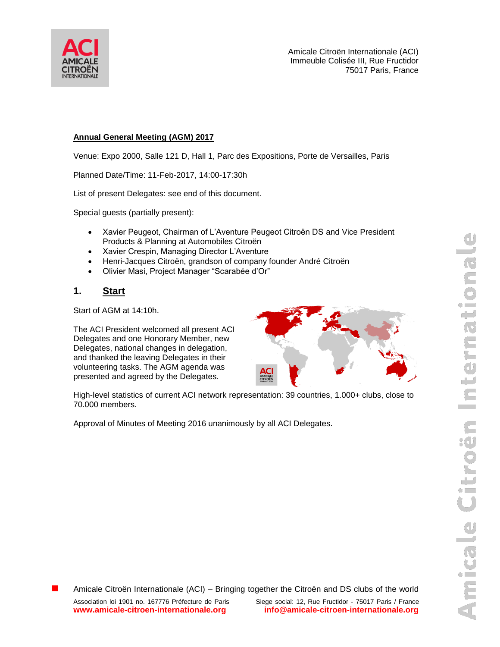

Amicale Citroën Internationale (ACI) Immeuble Colisée III, Rue Fructidor 75017 Paris, France

### **Annual General Meeting (AGM) 2017**

Venue: Expo 2000, Salle 121 D, Hall 1, Parc des Expositions, Porte de Versailles, Paris

Planned Date/Time: 11-Feb-2017, 14:00-17:30h

List of present Delegates: see end of this document.

Special guests (partially present):

- Xavier Peugeot, Chairman of L'Aventure Peugeot Citroën DS and Vice President Products & Planning at Automobiles Citroën
- Xavier Crespin, Managing Director L'Aventure
- Henri-Jacques Citroën, grandson of company founder André Citroën
- Olivier Masi, Project Manager "Scarabée d'Or"

### **1. Start**

Start of AGM at 14:10h.

The ACI President welcomed all present ACI Delegates and one Honorary Member, new Delegates, national changes in delegation, and thanked the leaving Delegates in their volunteering tasks. The AGM agenda was presented and agreed by the Delegates.



High-level statistics of current ACI network representation: 39 countries, 1.000+ clubs, close to 70.000 members.

Approval of Minutes of Meeting 2016 unanimously by all ACI Delegates.

Amicale Citroën Internationale (ACI) – Bringing together the Citroën and DS clubs of the world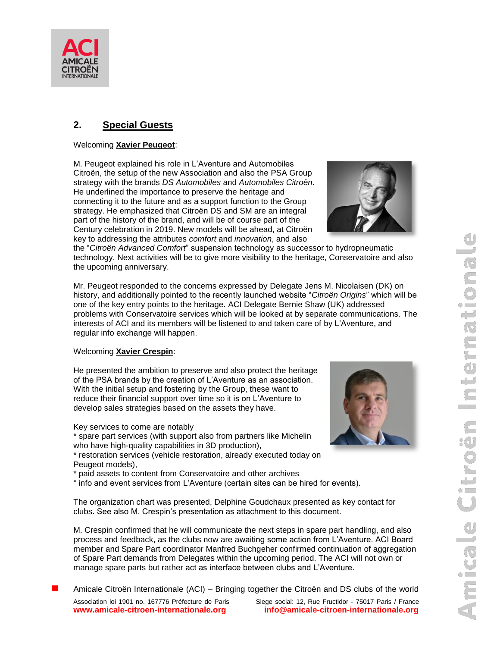

### **2. Special Guests**

#### Welcoming **Xavier Peugeot**:

M. Peugeot explained his role in L'Aventure and Automobiles Citroën, the setup of the new Association and also the PSA Group strategy with the brands *DS Automobiles* and *Automobiles Citroën*. He underlined the importance to preserve the heritage and connecting it to the future and as a support function to the Group strategy. He emphasized that Citroën DS and SM are an integral part of the history of the brand, and will be of course part of the Century celebration in 2019. New models will be ahead, at Citroën key to addressing the attributes *comfort* and *innovation*, and also



the "*Citroën Advanced Comfort*" suspension technology as successor to hydropneumatic technology. Next activities will be to give more visibility to the heritage, Conservatoire and also the upcoming anniversary.

Mr. Peugeot responded to the concerns expressed by Delegate Jens M. Nicolaisen (DK) on history, and additionally pointed to the recently launched website "*Citroën Origins*" which will be one of the key entry points to the heritage. ACI Delegate Bernie Shaw (UK) addressed problems with Conservatoire services which will be looked at by separate communications. The interests of ACI and its members will be listened to and taken care of by L'Aventure, and regular info exchange will happen.

#### Welcoming **Xavier Crespin**:

He presented the ambition to preserve and also protect the heritage of the PSA brands by the creation of L'Aventure as an association. With the initial setup and fostering by the Group, these want to reduce their financial support over time so it is on L'Aventure to develop sales strategies based on the assets they have.

Key services to come are notably

\* spare part services (with support also from partners like Michelin who have high-quality capabilities in 3D production),

\* restoration services (vehicle restoration, already executed today on Peugeot models),

- \* paid assets to content from Conservatoire and other archives
- \* info and event services from L'Aventure (certain sites can be hired for events).

The organization chart was presented, Delphine Goudchaux presented as key contact for clubs. See also M. Crespin's presentation as attachment to this document.

M. Crespin confirmed that he will communicate the next steps in spare part handling, and also process and feedback, as the clubs now are awaiting some action from L'Aventure. ACI Board member and Spare Part coordinator Manfred Buchgeher confirmed continuation of aggregation of Spare Part demands from Delegates within the upcoming period. The ACI will not own or manage spare parts but rather act as interface between clubs and L'Aventure.

Amicale Citroën Internationale (ACI) – Bringing together the Citroën and DS clubs of the world

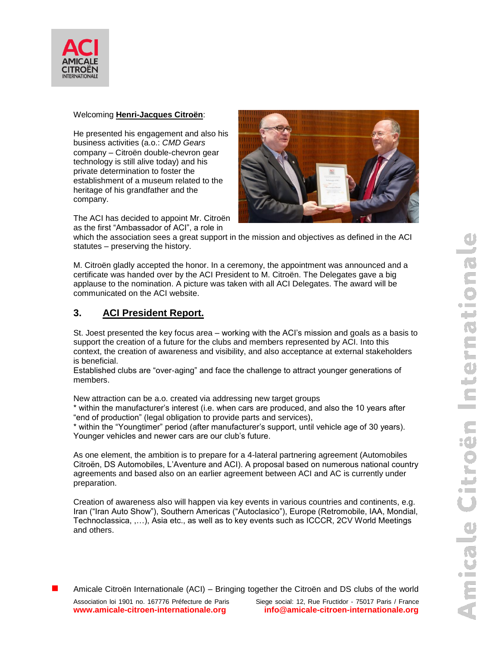

#### Welcoming **Henri-Jacques Citroën**:

He presented his engagement and also his business activities (a.o.: *CMD Gears* company – Citroën double-chevron gear technology is still alive today) and his private determination to foster the establishment of a museum related to the heritage of his grandfather and the company.

The ACI has decided to appoint Mr. Citroën as the first "Ambassador of ACI", a role in



which the association sees a great support in the mission and objectives as defined in the ACI statutes – preserving the history.

M. Citroën gladly accepted the honor. In a ceremony, the appointment was announced and a certificate was handed over by the ACI President to M. Citroën. The Delegates gave a big applause to the nomination. A picture was taken with all ACI Delegates. The award will be communicated on the ACI website.

# **3. ACI President Report.**

St. Joest presented the key focus area – working with the ACI's mission and goals as a basis to support the creation of a future for the clubs and members represented by ACI. Into this context, the creation of awareness and visibility, and also acceptance at external stakeholders is beneficial.

Established clubs are "over-aging" and face the challenge to attract younger generations of members.

New attraction can be a.o. created via addressing new target groups

\* within the manufacturer's interest (i.e. when cars are produced, and also the 10 years after "end of production" (legal obligation to provide parts and services),

\* within the "Youngtimer" period (after manufacturer's support, until vehicle age of 30 years). Younger vehicles and newer cars are our club's future.

As one element, the ambition is to prepare for a 4-lateral partnering agreement (Automobiles Citroën, DS Automobiles, L'Aventure and ACI). A proposal based on numerous national country agreements and based also on an earlier agreement between ACI and AC is currently under preparation.

Creation of awareness also will happen via key events in various countries and continents, e.g. Iran ("Iran Auto Show"), Southern Americas ("Autoclasico"), Europe (Retromobile, IAA, Mondial, Technoclassica, ,…), Asia etc., as well as to key events such as ICCCR, 2CV World Meetings and others.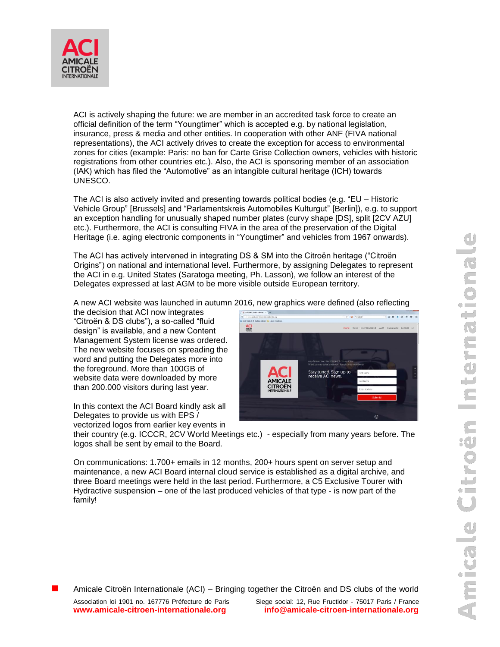

ACI is actively shaping the future: we are member in an accredited task force to create an official definition of the term "Youngtimer" which is accepted e.g. by national legislation, insurance, press & media and other entities. In cooperation with other ANF (FIVA national representations), the ACI actively drives to create the exception for access to environmental zones for cities (example: Paris: no ban for Carte Grise Collection owners, vehicles with historic registrations from other countries etc.). Also, the ACI is sponsoring member of an association (IAK) which has filed the "Automotive" as an intangible cultural heritage (ICH) towards UNESCO.

The ACI is also actively invited and presenting towards political bodies (e.g. "EU – Historic Vehicle Group" [Brussels] and "Parlamentskreis Automobiles Kulturgut" [Berlin]), e.g. to support an exception handling for unusually shaped number plates (curvy shape [DS], split [2CV AZU] etc.). Furthermore, the ACI is consulting FIVA in the area of the preservation of the Digital Heritage (i.e. aging electronic components in "Youngtimer" and vehicles from 1967 onwards).

The ACI has actively intervened in integrating DS & SM into the Citroën heritage ("Citroën Origins") on national and international level. Furthermore, by assigning Delegates to represent the ACI in e.g. United States (Saratoga meeting, Ph. Lasson), we follow an interest of the Delegates expressed at last AGM to be more visible outside European territory.

A new ACI website was launched in autumn 2016, new graphics were defined (also reflecting

the decision that ACI now integrates "Citroën & DS clubs"), a so-called "fluid design" is available, and a new Content Management System license was ordered. The new website focuses on spreading the word and putting the Delegates more into the foreground. More than 100GB of website data were downloaded by more than 200.000 visitors during last year.

In this context the ACI Board kindly ask all Delegates to provide us with EPS / vectorized logos from earlier key events in



their country (e.g. ICCCR, 2CV World Meetings etc.) - especially from many years before. The logos shall be sent by email to the Board.

On communications: 1.700+ emails in 12 months, 200+ hours spent on server setup and maintenance, a new ACI Board internal cloud service is established as a digital archive, and three Board meetings were held in the last period. Furthermore, a C5 Exclusive Tourer with Hydractive suspension – one of the last produced vehicles of that type - is now part of the family!

 $\mathbf{r}$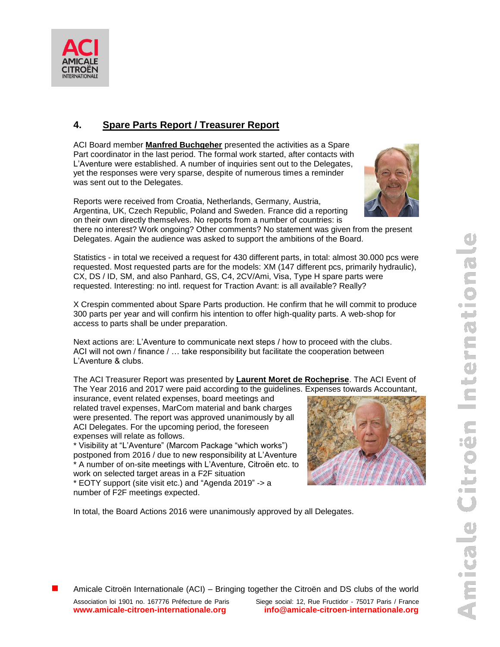

# **4. Spare Parts Report / Treasurer Report**

ACI Board member **Manfred Buchgeher** presented the activities as a Spare Part coordinator in the last period. The formal work started, after contacts with L'Aventure were established. A number of inquiries sent out to the Delegates, yet the responses were very sparse, despite of numerous times a reminder was sent out to the Delegates.

Reports were received from Croatia, Netherlands, Germany, Austria, Argentina, UK, Czech Republic, Poland and Sweden. France did a reporting on their own directly themselves. No reports from a number of countries: is

there no interest? Work ongoing? Other comments? No statement was given from the present Delegates. Again the audience was asked to support the ambitions of the Board.

Statistics - in total we received a request for 430 different parts, in total: almost 30.000 pcs were requested. Most requested parts are for the models: XM (147 different pcs, primarily hydraulic), CX, DS / ID, SM, and also Panhard, GS, C4, 2CV/Ami, Visa, Type H spare parts were requested. Interesting: no intl. request for Traction Avant: is all available? Really?

X Crespin commented about Spare Parts production. He confirm that he will commit to produce 300 parts per year and will confirm his intention to offer high-quality parts. A web-shop for access to parts shall be under preparation.

Next actions are: L'Aventure to communicate next steps / how to proceed with the clubs. ACI will not own / finance / … take responsibility but facilitate the cooperation between L'Aventure & clubs.

The ACI Treasurer Report was presented by **Laurent Moret de Rocheprise**. The ACI Event of The Year 2016 and 2017 were paid according to the guidelines. Expenses towards Accountant,

insurance, event related expenses, board meetings and related travel expenses, MarCom material and bank charges were presented. The report was approved unanimously by all ACI Delegates. For the upcoming period, the foreseen expenses will relate as follows.

\* Visibility at "L'Aventure" (Marcom Package "which works") postponed from 2016 / due to new responsibility at L'Aventure \* A number of on-site meetings with L'Aventure, Citroën etc. to work on selected target areas in a F2F situation

\* EOTY support (site visit etc.) and "Agenda 2019" -> a number of F2F meetings expected.



In total, the Board Actions 2016 were unanimously approved by all Delegates.

Amicale Citroën Internationale (ACI) – Bringing together the Citroën and DS clubs of the world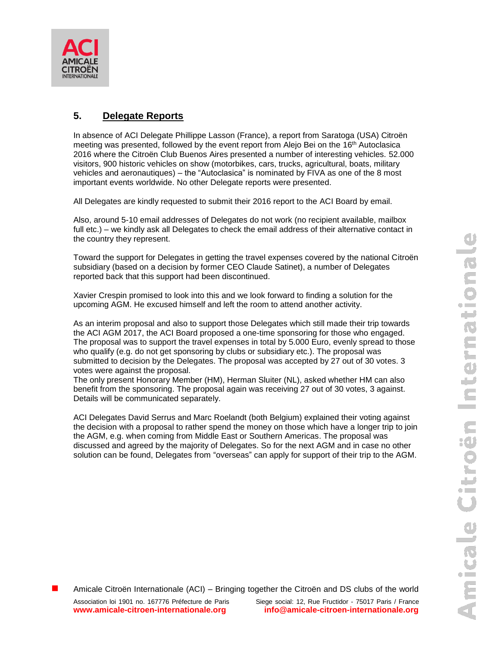



### **5. Delegate Reports**

In absence of ACI Delegate Phillippe Lasson (France), a report from Saratoga (USA) Citroën meeting was presented, followed by the event report from Alejo Bei on the 16th Autoclasica 2016 where the Citroën Club Buenos Aires presented a number of interesting vehicles. 52.000 visitors, 900 historic vehicles on show (motorbikes, cars, trucks, agricultural, boats, military vehicles and aeronautiques) – the "Autoclasica" is nominated by FIVA as one of the 8 most important events worldwide. No other Delegate reports were presented.

All Delegates are kindly requested to submit their 2016 report to the ACI Board by email.

Also, around 5-10 email addresses of Delegates do not work (no recipient available, mailbox full etc.) – we kindly ask all Delegates to check the email address of their alternative contact in the country they represent.

Toward the support for Delegates in getting the travel expenses covered by the national Citroën subsidiary (based on a decision by former CEO Claude Satinet), a number of Delegates reported back that this support had been discontinued.

Xavier Crespin promised to look into this and we look forward to finding a solution for the upcoming AGM. He excused himself and left the room to attend another activity.

As an interim proposal and also to support those Delegates which still made their trip towards the ACI AGM 2017, the ACI Board proposed a one-time sponsoring for those who engaged. The proposal was to support the travel expenses in total by 5.000 Euro, evenly spread to those who qualify (e.g. do not get sponsoring by clubs or subsidiary etc.). The proposal was submitted to decision by the Delegates. The proposal was accepted by 27 out of 30 votes. 3 votes were against the proposal.

The only present Honorary Member (HM), Herman Sluiter (NL), asked whether HM can also benefit from the sponsoring. The proposal again was receiving 27 out of 30 votes, 3 against. Details will be communicated separately.

ACI Delegates David Serrus and Marc Roelandt (both Belgium) explained their voting against the decision with a proposal to rather spend the money on those which have a longer trip to join the AGM, e.g. when coming from Middle East or Southern Americas. The proposal was discussed and agreed by the majority of Delegates. So for the next AGM and in case no other solution can be found, Delegates from "overseas" can apply for support of their trip to the AGM.

Amicale Citroën Internationale (ACI) – Bringing together the Citroën and DS clubs of the world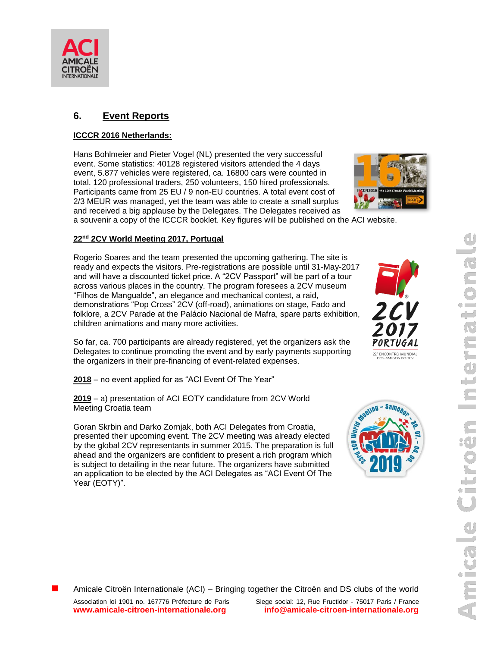

### **6. Event Reports**

#### **ICCCR 2016 Netherlands:**

Hans Bohlmeier and Pieter Vogel (NL) presented the very successful event. Some statistics: 40128 registered visitors attended the 4 days event, 5.877 vehicles were registered, ca. 16800 cars were counted in total. 120 professional traders, 250 volunteers, 150 hired professionals. Participants came from 25 EU / 9 non-EU countries. A total event cost of 2/3 MEUR was managed, yet the team was able to create a small surplus and received a big applause by the Delegates. The Delegates received as



a souvenir a copy of the ICCCR booklet. Key figures will be published on the ACI website.

#### **22nd 2CV World Meeting 2017, Portugal**

Rogerio Soares and the team presented the upcoming gathering. The site is ready and expects the visitors. Pre-registrations are possible until 31-May-2017 and will have a discounted ticket price. A "2CV Passport" will be part of a tour across various places in the country. The program foresees a 2CV museum "Filhos de Mangualde", an elegance and mechanical contest, a raid, demonstrations "Pop Cross" 2CV (off-road), animations on stage, Fado and folklore, a 2CV Parade at the Palácio Nacional de Mafra, spare parts exhibition, children animations and many more activities.

So far, ca. 700 participants are already registered, yet the organizers ask the Delegates to continue promoting the event and by early payments supporting the organizers in their pre-financing of event-related expenses.

**2018** – no event applied for as "ACI Event Of The Year"

**2019** – a) presentation of ACI EOTY candidature from 2CV World Meeting Croatia team

Goran Skrbin and Darko Zornjak, both ACI Delegates from Croatia, presented their upcoming event. The 2CV meeting was already elected by the global 2CV representants in summer 2015. The preparation is full ahead and the organizers are confident to present a rich program which is subject to detailing in the near future. The organizers have submitted an application to be elected by the ACI Delegates as "ACI Event Of The Year (EOTY)".





Amicale Citroën Internationale (ACI) – Bringing together the Citroën and DS clubs of the world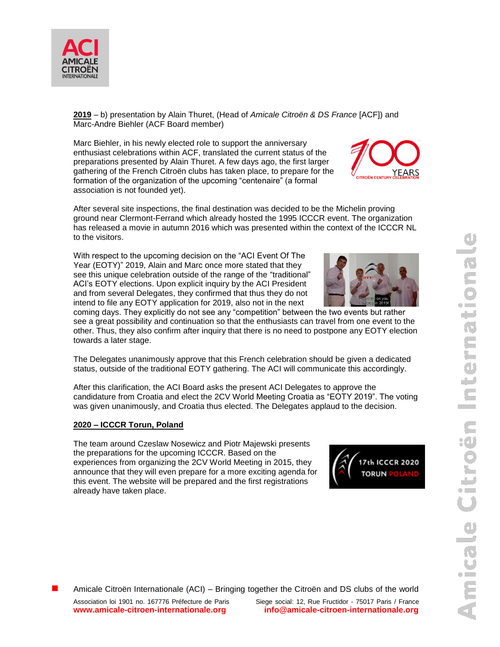

**2019** – b) presentation by Alain Thuret, (Head of *Amicale Citroën & DS France* [ACF]) and Marc-Andre Biehler (ACF Board member)

Marc Biehler, in his newly elected role to support the anniversary enthusiast celebrations within ACF, translated the current status of the preparations presented by Alain Thuret. A few days ago, the first larger gathering of the French Citroën clubs has taken place, to prepare for the formation of the organization of the upcoming "centenaire" (a formal association is not founded yet).

After several site inspections, the final destination was decided to be the Michelin proving ground near Clermont-Ferrand which already hosted the 1995 ICCCR event. The organization has released a movie in autumn 2016 which was presented within the context of the ICCCR NL to the visitors.

With respect to the upcoming decision on the "ACI Event Of The Year (EOTY)" 2019, Alain and Marc once more stated that they see this unique celebration outside of the range of the "traditional" ACI's EOTY elections. Upon explicit inquiry by the ACI President and from several Delegates, they confirmed that thus they do not intend to file any EOTY application for 2019, also not in the next

coming days. They explicitly do not see any "competition" between the two events but rather see a great possibility and continuation so that the enthusiasts can travel from one event to the other. Thus, they also confirm after inquiry that there is no need to postpone any EOTY election towards a later stage.

The Delegates unanimously approve that this French celebration should be given a dedicated status, outside of the traditional EOTY gathering. The ACI will communicate this accordingly.

After this clarification, the ACI Board asks the present ACI Delegates to approve the candidature from Croatia and elect the 2CV World Meeting Croatia as "EOTY 2019". The voting was given unanimously, and Croatia thus elected. The Delegates applaud to the decision.

#### **2020 – ICCCR Torun, Poland**

The team around Czeslaw Nosewicz and Piotr Majewski presents the preparations for the upcoming ICCCR. Based on the experiences from organizing the 2CV World Meeting in 2015, they announce that they will even prepare for a more exciting agenda for this event. The website will be prepared and the first registrations already have taken place.







Amicale Citroën Internationale (ACI) – Bringing together the Citroën and DS clubs of the world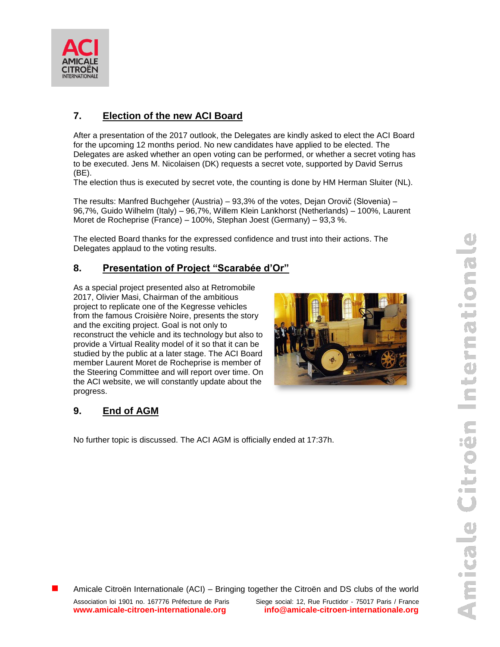

# **7. Election of the new ACI Board**

After a presentation of the 2017 outlook, the Delegates are kindly asked to elect the ACI Board for the upcoming 12 months period. No new candidates have applied to be elected. The Delegates are asked whether an open voting can be performed, or whether a secret voting has to be executed. Jens M. Nicolaisen (DK) requests a secret vote, supported by David Serrus (BE).

The election thus is executed by secret vote, the counting is done by HM Herman Sluiter (NL).

The results: Manfred Buchgeher (Austria) – 93,3% of the votes, Dejan Orovič (Slovenia) – 96,7%, Guido Wilhelm (Italy) – 96,7%, Willem Klein Lankhorst (Netherlands) – 100%, Laurent Moret de Rocheprise (France) – 100%, Stephan Joest (Germany) – 93,3 %.

The elected Board thanks for the expressed confidence and trust into their actions. The Delegates applaud to the voting results.

# **8. Presentation of Project "Scarabée d'Or"**

As a special project presented also at Retromobile 2017, Olivier Masi, Chairman of the ambitious project to replicate one of the Kegresse vehicles from the famous Croisière Noire, presents the story and the exciting project. Goal is not only to reconstruct the vehicle and its technology but also to provide a Virtual Reality model of it so that it can be studied by the public at a later stage. The ACI Board member Laurent Moret de Rocheprise is member of the Steering Committee and will report over time. On the ACI website, we will constantly update about the progress.



# **9. End of AGM**

No further topic is discussed. The ACI AGM is officially ended at 17:37h.

Amicale Citroën Internationale (ACI) – Bringing together the Citroën and DS clubs of the world